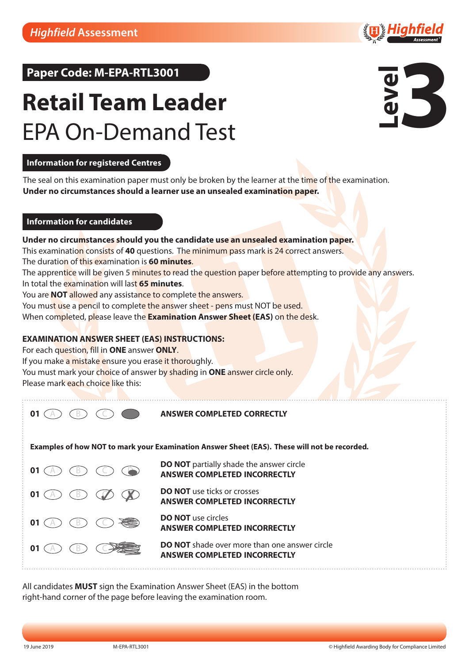# $Paper Code: M-EPA-RTL3001$

# **Retail Team Leader** EPA On-Demand Test



### **Information for registered Centres**

The seal on this examination paper must only be broken by the learner at the time of the examination. **Under no circumstances should a learner use an unsealed examination paper.** 

### **Information for candidates a c and a c a c c c a c d examination examine**

### Under no circu<mark>m</mark>stances should you the candidate use an unsealed examination paper.

This examination consists of **40** questions. The minimum pass mark is 24 correct answers.

The duration of this examination is **60 minutes**. **Under no circumstances should you the candidate use an unsealed examination paper.**

The appren<mark>tice</mark> will be given 5 <mark>minutes to read the question p</mark>aper b<mark>efore att</mark>empting to pro<mark>vide any</mark> answers. In total the examination will last 65 minutes. **DISTINCTION is the 45 or more of the 45 or more of the 45 questions.** 

You are **NOT** allowed any assista<mark>nce to co</mark>mplete the answers.

You mus<mark>t u</mark>se a <mark>penc</mark>il to complet<mark>e the ans</mark>wer sh<mark>eet - pens must</mark> NOT b<mark>e used.</mark>

When co<mark>mple</mark>ted, please leave the <mark>Examination Answer Sheet (EAS)</mark> o<mark>n the des</mark>k.

#### **EXAMINATION ANSWER SHEET (EAS) INSTRUCTIONS:**

**Example 2 AND THE EXAMPLE THE EXAMPLE TERMINATION CONCRETE THE EXAMPLE TERMINATIONS:** 

If you make a mistake ensure you eras<mark>e it thorou</mark>ghly.

You must mark your <mark>cho</mark>ice of answer b<mark>y shadin</mark>g in **ONE** a<mark>nswer circle only.</mark>

**Please mark each choice like this:** You must make an answer choice of answer by shading in the only.

**ANSWER COMPLETED CORRECTLY**

**Examples of how NOT to mark your Examination Answer Sheet (EAS). These will not be recorded.**



**DO NOT** partially shade the answer circle **ANSWER COMPLETED INCORRECTLY DO NOT** use ticks or crosses

**ANSWER COMPLETED INCORRECTLY**

**DO NOT** use circles **ANSWER COMPLETED INCORRECTLY**

**DO NOT** shade over more than one answer circle **ANSWER COMPLETED INCORRECTLY**

right-hand corner of the page before leaving the examination room. All candidates **MUST** sign the Examination Answer Sheet (EAS) in the bottom

*We listen and respond We listen and respond*

 $01$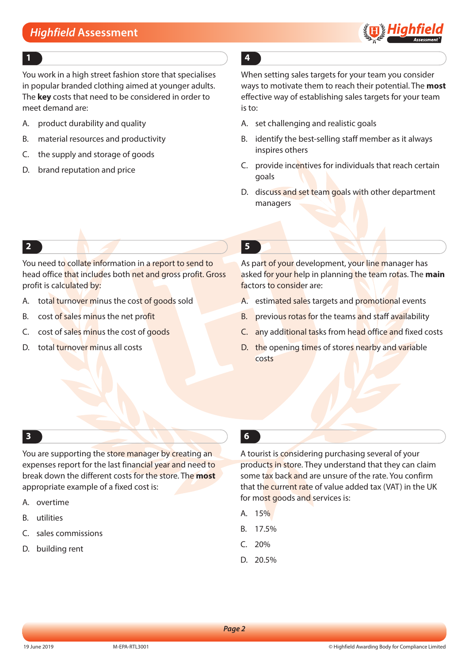

#### **1 4**

You work in a high street fashion store that specialises in popular branded clothing aimed at younger adults. The **key** costs that need to be considered in order to meet demand are:

- A. product durability and quality
- B. material resources and productivity
- C. the supply and storage of goods
- D. brand reputation and price

When setting sales targets for your team you consider ways to motivate them to reach their potential. The **most** effective way of establishing sales targets for your team is to:

- A. set challenging and realistic goals
- B. identify the best-selling staff member as it always inspires others
- C. provide incentives for individuals that reach certain goals
- D. discuss and set team goals with other department managers

### **2 5**

You need to collate information in a report to send to head office that includes both net and gross profit. Gross profit is calculated by:

- A. total turnover minus the cost of goods sold
- B. cost of sales minus the net profit
- C. cost of sales minus the cost of goods
- D. total turnover minus all costs

As part of your development, your line manager has asked for your help in planning the team rotas. The **main** factors to consider are:

- A. estimated sales targets and promotional events
- B. previous rotas for the teams and staff availability
- C. any additional tasks from head office and fixed costs
- D. the opening times of stores nearby and variable costs

### **3 6**

You are supporting the store manager by creating an expenses report for the last financial year and need to break down the different costs for the store. The **most** appropriate example of a fixed cost is:

- A. overtime
- B. utilities
- C. sales commissions
- D. building rent

A tourist is considering purchasing several of your products in store. They understand that they can claim some tax back and are unsure of the rate. You confirm that the current rate of value added tax (VAT) in the UK for most goods and services is:

- A. 15%
- B. 17.5%
- C. 20%
- D. 20.5%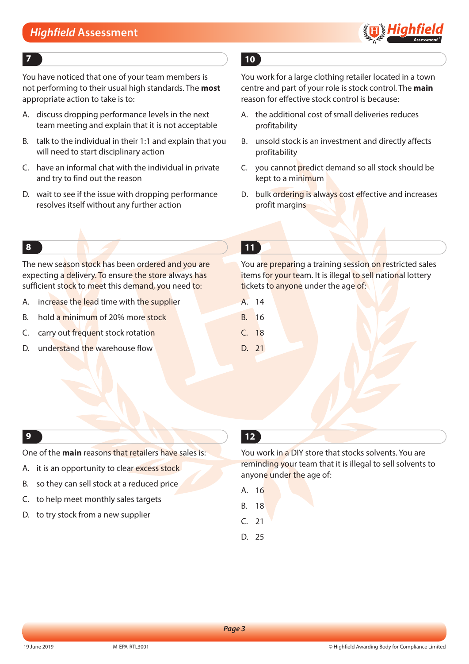

You have noticed that one of your team members is not performing to their usual high standards. The **most** appropriate action to take is to:

- A. discuss dropping performance levels in the next team meeting and explain that it is not acceptable
- B. talk to the individual in their 1:1 and explain that you will need to start disciplinary action
- C. have an informal chat with the individual in private and try to find out the reason
- D. wait to see if the issue with dropping performance resolves itself without any further action

### **7 10**

You work for a large clothing retailer located in a town centre and part of your role is stock control. The **main** reason for effective stock control is because:

- A. the additional cost of small deliveries reduces profitability
- B. unsold stock is an investment and directly affects profitability
- C. you cannot predict demand so all stock should be kept to a minimum
- D. bulk ordering is always cost effective and increases profit margins

The new season stock has been ordered and you are expecting a delivery. To ensure the store always has sufficient stock to meet this demand, you need to:

- A. increase the lead time with the supplier
- B. hold a minimum of 20% more stock
- C. carry out frequent stock rotation
- D. understand the warehouse flow

### **8 11**

You are preparing a training session on restricted sales items for your team. It is illegal to sell national lottery tickets to anyone under the age of:

- A. 14
- B. 16
- C. 18
- D. 21

#### **9 12**

One of the **main** reasons that retailers have sales is:

- A. it is an opportunity to clear excess stock
- B. so they can sell stock at a reduced price
- C. to help meet monthly sales targets
- D. to try stock from a new supplier

You work in a DIY store that stocks solvents. You are reminding your team that it is illegal to sell solvents to anyone under the age of:

- A. 16
- B. 18
- C. 21
- D. 25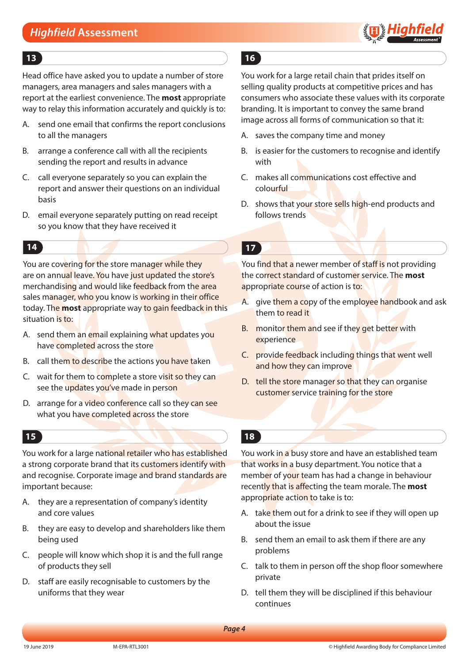

#### **13 16**

Head office have asked you to update a number of store managers, area managers and sales managers with a report at the earliest convenience. The **most** appropriate way to relay this information accurately and quickly is to:

- A. send one email that confirms the report conclusions to all the managers
- B. arrange a conference call with all the recipients sending the report and results in advance
- C. call everyone separately so you can explain the report and answer their questions on an individual basis
- D. email everyone separately putting on read receipt so you know that they have received it

You are covering for the store manager while they are on annual leave. You have just updated the store's merchandising and would like feedback from the area sales manager, who you know is working in their office today. The **most** appropriate way to gain feedback in this situation is to:

- A. send them an email explaining what updates you have completed across the store
- B. call them to describe the actions you have taken
- C. wait for them to complete a store visit so they can see the updates you've made in person
- D. arrange for a video conference call so they can see what you have completed across the store

#### **15 18**

You work for a large national retailer who has established a strong corporate brand that its customers identify with and recognise. Corporate image and brand standards are important because:

- A. they are a representation of company's identity and core values
- B. they are easy to develop and shareholders like them being used
- C. people will know which shop it is and the full range of products they sell
- D. staff are easily recognisable to customers by the uniforms that they wear

You work for a large retail chain that prides itself on selling quality products at competitive prices and has consumers who associate these values with its corporate branding. It is important to convey the same brand image across all forms of communication so that it:

- A. saves the company time and money
- B. is easier for the customers to recognise and identify with
- C. makes all communications cost effective and colourful
- D. shows that your store sells high-end products and follows trends

**14 17**

You find that a newer member of staff is not providing the correct standard of customer service. The **most** appropriate course of action is to:

- A. give them a copy of the employee handbook and ask them to read it
- B. monitor them and see if they get better with experience
- C. provide feedback including things that went well and how they can improve
- D. tell the store manager so that they can organise customer service training for the store

You work in a busy store and have an established team that works in a busy department. You notice that a member of your team has had a change in behaviour recently that is affecting the team morale. The **most** appropriate action to take is to:

- A. take them out for a drink to see if they will open up about the issue
- B. send them an email to ask them if there are any problems
- C. talk to them in person off the shop floor somewhere private
- D. tell them they will be disciplined if this behaviour continues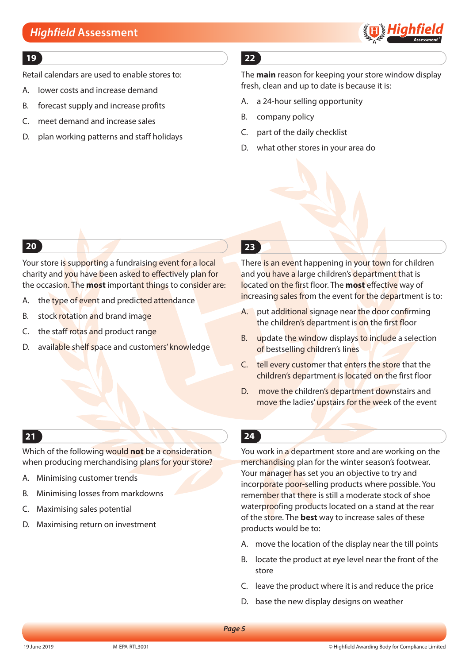

### **19 22**

Retail calendars are used to enable stores to:

- A. lower costs and increase demand
- B. forecast supply and increase profits
- C. meet demand and increase sales
- D. plan working patterns and staff holidays

The **main** reason for keeping your store window display fresh, clean and up to date is because it is:

- A. a 24-hour selling opportunity
- B. company policy
- C. part of the daily checklist
- D. what other stores in your area do

Your store is supporting a fundraising event for a local charity and you have been asked to effectively plan for the occasion. The **most** important things to consider are:

- A. the type of event and predicted attendance
- B. stock rotation and brand image
- C. the staff rotas and product range
- D. available shelf space and customers' knowledge

### **20 23**

There is an event happening in your town for children and you have a large children's department that is located on the first floor. The **most** effective way of increasing sales from the event for the department is to:

- A. put additional signage near the door confirming the children's department is on the first floor
- B. update the window displays to include a selection of bestselling children's lines
- C. tell every customer that enters the store that the children's department is located on the first floor
- D. move the children's department downstairs and move the ladies' upstairs for the week of the event

### **21 24**

Which of the following would **not** be a consideration when producing merchandising plans for your store?

- A. Minimising customer trends
- B. Minimising losses from markdowns
- C. Maximising sales potential
- D. Maximising return on investment

You work in a department store and are working on the merchandising plan for the winter season's footwear. Your manager has set you an objective to try and incorporate poor-selling products where possible. You remember that there is still a moderate stock of shoe waterproofing products located on a stand at the rear of the store. The **best** way to increase sales of these products would be to:

- A. move the location of the display near the till points
- B. locate the product at eye level near the front of the store
- C. leave the product where it is and reduce the price
- D. base the new display designs on weather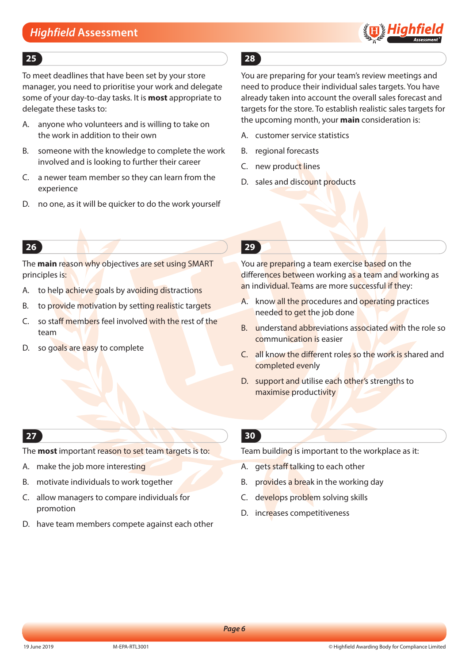

### **25 28**

To meet deadlines that have been set by your store manager, you need to prioritise your work and delegate some of your day-to-day tasks. It is **most** appropriate to delegate these tasks to:

- A. anyone who volunteers and is willing to take on the work in addition to their own
- B. someone with the knowledge to complete the work involved and is looking to further their career
- C. a newer team member so they can learn from the experience
- D. no one, as it will be quicker to do the work yourself

You are preparing for your team's review meetings and need to produce their individual sales targets. You have already taken into account the overall sales forecast and targets for the store. To establish realistic sales targets for the upcoming month, your **main** consideration is:

- A. customer service statistics
- B. regional forecasts
- C. new product lines
- D. sales and discount products

The **main** reason why objectives are set using SMART principles is:

- A. to help achieve goals by avoiding distractions
- B. to provide motivation by setting realistic targets
- C. so staff members feel involved with the rest of the team
- D. so goals are easy to complete

### **26 29**

You are preparing a team exercise based on the differences between working as a team and working as an individual. Teams are more successful if they:

- A. know all the procedures and operating practices needed to get the job done
- B. understand abbreviations associated with the role so communication is easier
- C. all know the different roles so the work is shared and completed evenly
- D. support and utilise each other's strengths to maximise productivity

### **27**

The **most** important reason to set team targets is to:

- A. make the job more interesting
- B. motivate individuals to work together
- C. allow managers to compare individuals for promotion
- D. have team members compete against each other

### **30**

Team building is important to the workplace as it:

- A. gets staff talking to each other
- B. provides a break in the working day
- C. develops problem solving skills
- D. increases competitiveness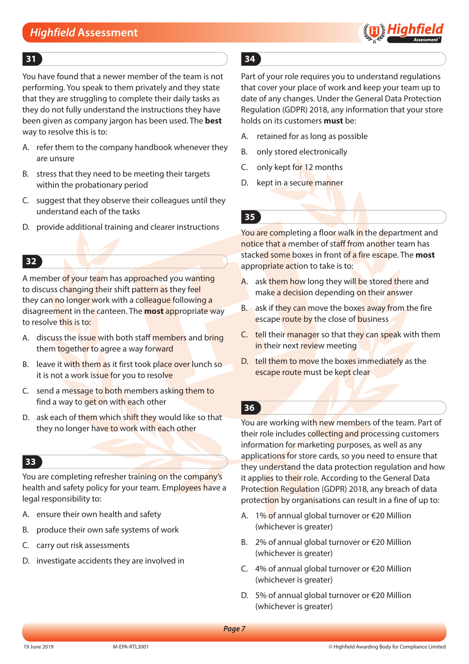

You have found that a newer member of the team is not performing. You speak to them privately and they state that they are struggling to complete their daily tasks as they do not fully understand the instructions they have been given as company jargon has been used. The **best** way to resolve this is to:

- A. refer them to the company handbook whenever they are unsure
- B. stress that they need to be meeting their targets within the probationary period
- C. suggest that they observe their colleagues until they understand each of the tasks
- D. provide additional training and clearer instructions

### **32**

A member of your team has approached you wanting to discuss changing their shift pattern as they feel they can no longer work with a colleague following a disagreement in the canteen. The **most** appropriate way to resolve this is to:

- A. discuss the issue with both staff members and bring them together to agree a way forward
- B. leave it with them as it first took place over lunch so it is not a work issue for you to resolve
- C. send a message to both members asking them to find a way to get on with each other
- D. ask each of them which shift they would like so that they no longer have to work with each other

#### **33**

You are completing refresher training on the company's health and safety policy for your team. Employees have a legal responsibility to:

- A. ensure their own health and safety
- B. produce their own safe systems of work
- C. carry out risk assessments
- D. investigate accidents they are involved in

### **31 34**

Part of your role requires you to understand regulations that cover your place of work and keep your team up to date of any changes. Under the General Data Protection Regulation (GDPR) 2018, any information that your store holds on its customers **must** be:

- A. retained for as long as possible
- B. only stored electronically
- C. only kept for 12 months
- D. kept in a secure manner
- **35**

You are completing a floor walk in the department and notice that a member of staff from another team has stacked some boxes in front of a fire escape. The **most** appropriate action to take is to:

- A. ask them how long they will be stored there and make a decision depending on their answer
- B. ask if they can move the boxes away from the fire escape route by the close of business
- C. tell their manager so that they can speak with them in their next review meeting
- D. tell them to move the boxes immediately as the escape route must be kept clear

### **36**

You are working with new members of the team. Part of their role includes collecting and processing customers information for marketing purposes, as well as any applications for store cards, so you need to ensure that they understand the data protection regulation and how it applies to their role. According to the General Data Protection Regulation (GDPR) 2018, any breach of data protection by organisations can result in a fine of up to:

- A. 1% of annual global turnover or €20 Million (whichever is greater)
- B. 2% of annual global turnover or €20 Million (whichever is greater)
- C. 4% of annual global turnover or €20 Million (whichever is greater)
- D. 5% of annual global turnover or €20 Million (whichever is greater)